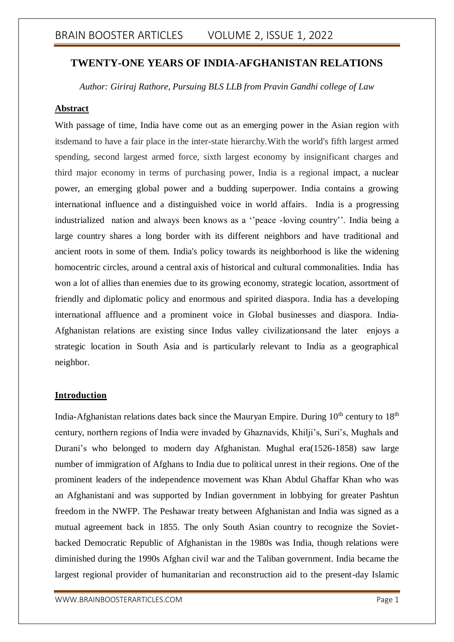### **TWENTY-ONE YEARS OF INDIA-AFGHANISTAN RELATIONS**

*Author: Giriraj Rathore, Pursuing BLS LLB from Pravin Gandhi college of Law*

### **Abstract**

With passage of time, India have come out as an emerging power in the Asian region with itsdemand to have a fair place in the inter-state hierarchy.With the world's fifth largest armed spending, second largest armed force, sixth largest economy by insignificant charges and third major economy in terms of purchasing power, India is a regional impact, a nuclear power, an emerging global power and a budding superpower. India contains a growing international influence and a distinguished voice in world affairs. India is a progressing industrialized nation and always been knows as a ''peace -loving country''. India being a large country shares a long border with its different neighbors and have traditional and ancient roots in some of them. India's policy towards its neighborhood is like the widening homocentric circles, around a central axis of historical and cultural commonalities. India has won a lot of allies than enemies due to its growing economy, strategic location, assortment of friendly and diplomatic policy and enormous and spirited diaspora. India has a developing international affluence and a prominent voice in Global businesses and diaspora. India-Afghanistan relations are existing since Indus valley civilizationsand the later enjoys a strategic location in South Asia and is particularly relevant to India as a geographical neighbor.

### **Introduction**

India-Afghanistan relations dates back since the Mauryan Empire. During  $10<sup>th</sup>$  century to  $18<sup>th</sup>$ century, northern regions of India were invaded by Ghaznavids, Khilji's, Suri's, Mughals and Durani's who belonged to modern day Afghanistan. Mughal era(1526-1858) saw large number of immigration of Afghans to India due to political unrest in their regions. One of the prominent leaders of the independence movement was Khan Abdul Ghaffar Khan who was an Afghanistani and was supported by Indian government in lobbying for greater Pashtun freedom in the NWFP. The Peshawar treaty between Afghanistan and India was signed as a mutual agreement back in 1855. The only South Asian country to recognize the Sovietbacked Democratic Republic of Afghanistan in the 1980s was India, though relations were diminished during the 1990s Afghan civil war and the Taliban government. India became the largest regional provider of humanitarian and reconstruction aid to the present-day Islamic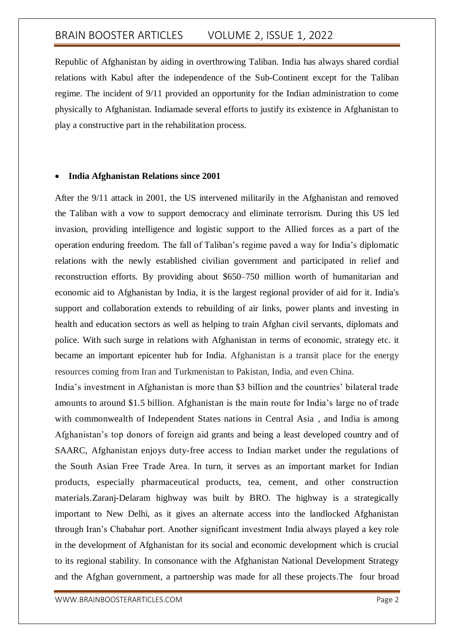Republic of Afghanistan by aiding in overthrowing Taliban. India has always shared cordial relations with Kabul after the independence of the Sub-Continent except for the Taliban regime. The incident of 9/11 provided an opportunity for the Indian administration to come physically to Afghanistan. Indiamade several efforts to justify its existence in Afghanistan to play a constructive part in the rehabilitation process.

#### **India Afghanistan Relations since 2001**

After the 9/11 attack in 2001, the US intervened militarily in the Afghanistan and removed the Taliban with a vow to support democracy and eliminate terrorism. During this US led invasion, providing intelligence and logistic support to the Allied forces as a part of the operation enduring freedom. The fall of Taliban's regime paved a way for India's diplomatic relations with the newly established civilian government and participated in relief and reconstruction efforts. By providing about \$650–750 million worth of humanitarian and economic aid to Afghanistan by India, it is the largest regional provider of aid for it. India's support and collaboration extends to rebuilding of air links, power plants and investing in health and education sectors as well as helping to train Afghan civil servants, diplomats and police. With such surge in relations with Afghanistan in terms of economic, strategy etc. it became an important epicenter hub for India. Afghanistan is a transit place for the energy resources coming from Iran and Turkmenistan to Pakistan, India, and even China.

India's investment in Afghanistan is more than \$3 billion and the countries' bilateral trade amounts to around \$1.5 billion. Afghanistan is the main route for India's large no of trade with commonwealth of Independent States nations in Central Asia , and India is among Afghanistan's top donors of foreign aid grants and being a least developed country and of SAARC, Afghanistan enjoys duty-free access to Indian market under the regulations of the South Asian Free Trade Area. In turn, it serves as an important market for Indian products, especially pharmaceutical products, tea, cement, and other construction materials.Zaranj-Delaram highway was built by BRO. The highway is a strategically important to New Delhi, as it gives an alternate access into the landlocked Afghanistan through Iran's Chabahar port. Another significant investment India always played a key role in the development of Afghanistan for its social and economic development which is crucial to its regional stability. In consonance with the Afghanistan National Development Strategy and the Afghan government, a partnership was made for all these projects.The four broad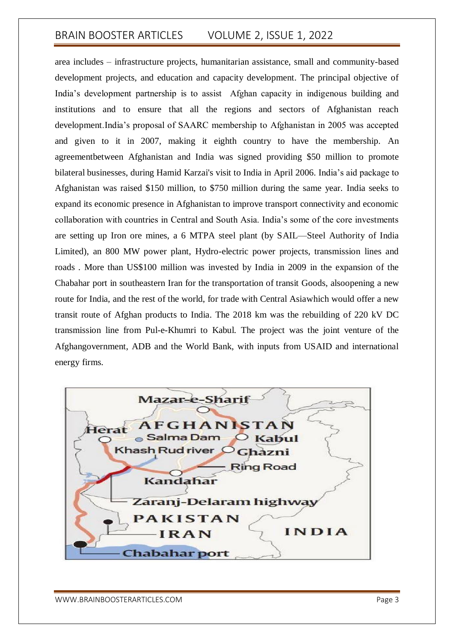area includes – infrastructure projects, humanitarian assistance, small and community-based development projects, and education and capacity development. The principal objective of India's development partnership is to assist Afghan capacity in indigenous building and institutions and to ensure that all the regions and sectors of Afghanistan reach development.India's proposal of SAARC membership to Afghanistan in 2005 was accepted and given to it in 2007, making it eighth country to have the membership. An agreementbetween Afghanistan and India was signed providing \$50 million to promote bilateral businesses, during Hamid Karzai's visit to India in April 2006. India's aid package to Afghanistan was raised \$150 million, to \$750 million during the same year. India seeks to expand its economic presence in Afghanistan to improve transport connectivity and economic collaboration with countries in Central and South Asia. India's some of the core investments are setting up Iron ore mines, a 6 MTPA steel plant (by SAIL—Steel Authority of India Limited), an 800 MW power plant, Hydro-electric power projects, transmission lines and roads . More than US\$100 million was invested by India in 2009 in the expansion of the Chabahar port in southeastern Iran for the transportation of transit Goods, alsoopening a new route for India, and the rest of the world, for trade with Central Asiawhich would offer a new transit route of Afghan products to India. The 2018 km was the rebuilding of 220 kV DC transmission line from Pul-e-Khumri to Kabul. The project was the joint venture of the Afghangovernment, ADB and the World Bank, with inputs from USAID and international energy firms.

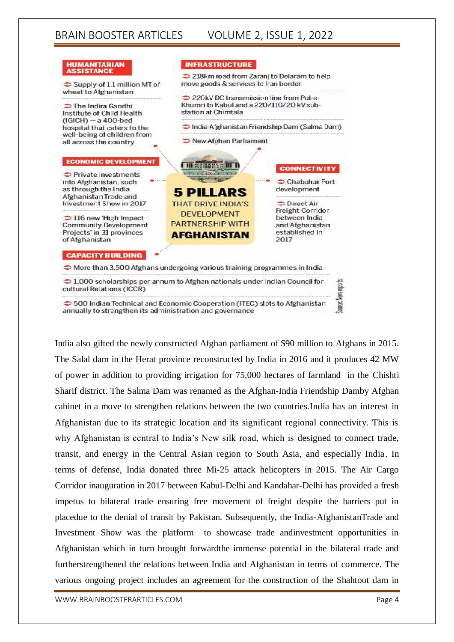

India also gifted the newly constructed Afghan parliament of \$90 million to Afghans in 2015. The Salal dam in the Herat province reconstructed by India in 2016 and it produces 42 MW of power in addition to providing irrigation for 75,000 hectares of farmland in the Chishti Sharif district. The Salma Dam was renamed as the Afghan-India Friendship Damby Afghan cabinet in a move to strengthen relations between the two countries.India has an interest in Afghanistan due to its strategic location and its significant regional connectivity. This is why Afghanistan is central to India's New silk road, which is designed to connect trade, transit, and energy in the Central Asian region to South Asia, and especially India. In terms of defense, India donated three Mi-25 attack helicopters in 2015. The Air Cargo Corridor inauguration in 2017 between Kabul-Delhi and Kandahar-Delhi has provided a fresh impetus to bilateral trade ensuring free movement of freight despite the barriers put in placedue to the denial of transit by Pakistan. Subsequently, the India-AfghanistanTrade and Investment Show was the platform to showcase trade andinvestment opportunities in Afghanistan which in turn brought forwardthe immense potential in the bilateral trade and furtherstrengthened the relations between India and Afghanistan in terms of commerce. The various ongoing project includes an agreement for the construction of the Shahtoot dam in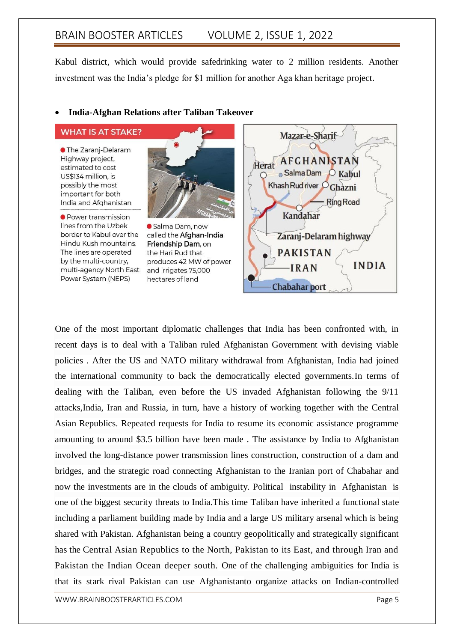Kabul district, which would provide safedrinking water to 2 million residents. Another investment was the India's pledge for \$1 million for another Aga khan heritage project.

#### **India-Afghan Relations after Taliban Takeover**

**WHAT IS AT STAKE?** 

**• The Zaranj-Delaram** Highway project. estimated to cost US\$134 million, is possibly the most important for both India and Afghanistan

● Power transmission lines from the Uzbek border to Kabul over the Hindu Kush mountains. The lines are operated by the multi-country, multi-agency North East Power System (NEPS)



Salma Dam, now called the Afghan-India Friendship Dam, on the Hari Rud that produces 42 MW of power and irrigates 75,000 hectares of land



One of the most important diplomatic challenges that India has been confronted with, in recent days is to deal with a Taliban ruled Afghanistan Government with devising viable policies . After the US and NATO military withdrawal from Afghanistan, India had joined the international community to back the democratically elected governments.In terms of dealing with the Taliban, even before the US invaded Afghanistan following the 9/11 attacks,India, Iran and Russia, in turn, have a history of working together with the Central Asian Republics. Repeated requests for India to resume its economic assistance programme amounting to around \$3.5 billion have been made . The assistance by India to Afghanistan involved the long-distance power transmission lines construction, construction of a dam and bridges, and the strategic road connecting Afghanistan to the Iranian port of Chabahar and now the investments are in the clouds of ambiguity. Political instability in Afghanistan is one of the biggest security threats to India.This time Taliban have inherited a functional state including a parliament building made by India and a large US military arsenal which is being shared with Pakistan. Afghanistan being a country geopolitically and strategically significant has the Central Asian Republics to the North, Pakistan to its East, and through Iran and Pakistan the Indian Ocean deeper south. One of the challenging ambiguities for India is that its stark rival Pakistan can use Afghanistanto organize attacks on Indian-controlled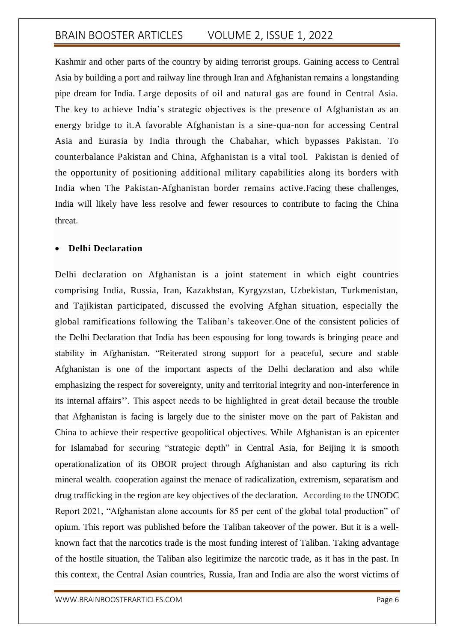Kashmir and other parts of the country by aiding terrorist groups. Gaining access to Central Asia by building a port and railway line through Iran and Afghanistan remains a longstanding pipe dream for India. Large deposits of oil and natural gas are found in Central Asia. The key to achieve India's strategic objectives is the presence of Afghanistan as an energy bridge to it.A favorable Afghanistan is a sine-qua-non for accessing Central Asia and Eurasia by India through the Chabahar, which bypasses Pakistan. To counterbalance Pakistan and China, Afghanistan is a vital tool. Pakistan is denied of the opportunity of positioning additional military capabilities along its borders with India when The Pakistan-Afghanistan border remains active.Facing these challenges, India will likely have less resolve and fewer resources to contribute to facing the China threat.

### **Delhi Declaration**

Delhi declaration on Afghanistan is a joint statement in which eight countries comprising India, Russia, Iran, Kazakhstan, Kyrgyzstan, Uzbekistan, Turkmenistan, and Tajikistan participated, discussed the evolving Afghan situation, especially the global ramifications following the Taliban's takeover.One of the consistent policies of the Delhi Declaration that India has been espousing for long towards is bringing peace and stability in Afghanistan. "Reiterated strong support for a peaceful, secure and stable Afghanistan is one of the important aspects of the Delhi declaration and also while emphasizing the respect for sovereignty, unity and territorial integrity and non-interference in its internal affairs''. This aspect needs to be highlighted in great detail because the trouble that Afghanistan is facing is largely due to the sinister move on the part of Pakistan and China to achieve their respective geopolitical objectives. While Afghanistan is an epicenter for Islamabad for securing "strategic depth" in Central Asia, for Beijing it is smooth operationalization of its OBOR project through Afghanistan and also capturing its rich mineral wealth. cooperation against the menace of radicalization, extremism, separatism and drug trafficking in the region are key objectives of the declaration. According to the UNODC Report 2021, "Afghanistan alone accounts for 85 per cent of the global total production" of opium. This report was published before the Taliban takeover of the power. But it is a wellknown fact that the narcotics trade is the most funding interest of Taliban. Taking advantage of the hostile situation, the Taliban also legitimize the narcotic trade, as it has in the past. In this context, the Central Asian countries, Russia, Iran and India are also the worst victims of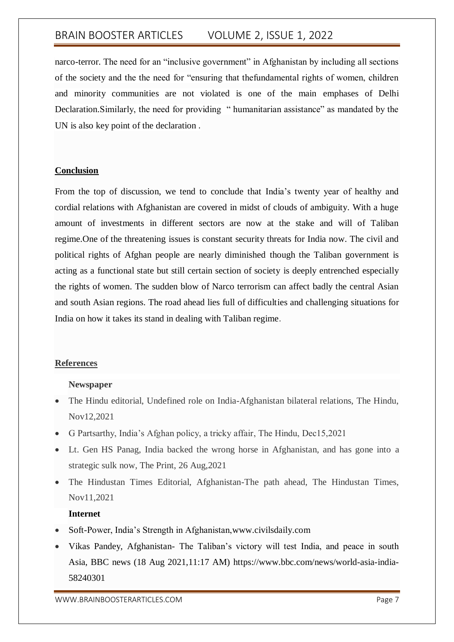narco-terror. The need for an "inclusive government" in Afghanistan by including all sections of the society and the the need for "ensuring that thefundamental rights of women, children and minority communities are not violated is one of the main emphases of Delhi Declaration.Similarly, the need for providing " humanitarian assistance" as mandated by the UN is also key point of the declaration .

### **Conclusion**

From the top of discussion, we tend to conclude that India's twenty year of healthy and cordial relations with Afghanistan are covered in midst of clouds of ambiguity. With a huge amount of investments in different sectors are now at the stake and will of Taliban regime.One of the threatening issues is constant security threats for India now. The civil and political rights of Afghan people are nearly diminished though the Taliban government is acting as a functional state but still certain section of society is deeply entrenched especially the rights of women. The sudden blow of Narco terrorism can affect badly the central Asian and south Asian regions. The road ahead lies full of difficulties and challenging situations for India on how it takes its stand in dealing with Taliban regime.

### **References**

### **Newspaper**

- The Hindu editorial, Undefined role on India-Afghanistan bilateral relations, The Hindu, Nov12,2021
- G Partsarthy, India's Afghan policy, a tricky affair, The Hindu, Dec15,2021
- Lt. Gen HS Panag, India backed the wrong horse in Afghanistan, and has gone into a strategic sulk now, The Print, 26 Aug,2021
- The Hindustan Times Editorial, Afghanistan-The path ahead, The Hindustan Times, Nov11,2021

### **Internet**

- Soft-Power, India's Strength in Afghanistan,www.civilsdaily.com
- Vikas Pandey, Afghanistan- The Taliban's victory will test India, and peace in south Asia, BBC news (18 Aug 2021,11:17 AM) https://www.bbc.com/news/world-asia-india-58240301